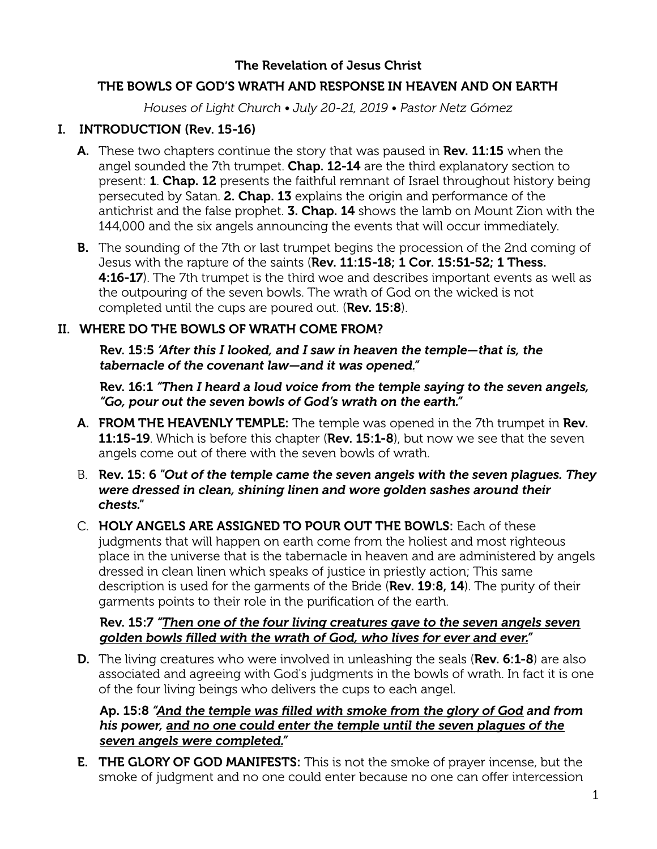#### The Revelation of Jesus Christ

## THE BOWLS OF GOD'S WRATH AND RESPONSE IN HEAVEN AND ON EARTH

*Houses of Light Church • July 20-21, 2019 • Pastor Netz Gómez*

## I. INTRODUCTION (Rev. 15-16)

- A. These two chapters continue the story that was paused in Rev. 11:15 when the angel sounded the 7th trumpet. Chap. 12-14 are the third explanatory section to present: 1. Chap. 12 presents the faithful remnant of Israel throughout history being persecuted by Satan. 2. Chap. 13 explains the origin and performance of the antichrist and the false prophet. **3. Chap. 14** shows the lamb on Mount Zion with the 144,000 and the six angels announcing the events that will occur immediately.
- **B.** The sounding of the 7th or last trumpet begins the procession of the 2nd coming of Jesus with the rapture of the saints (Rev. 11:15-18; 1 Cor. 15:51-52; 1 Thess. 4:16-17). The 7th trumpet is the third woe and describes important events as well as the outpouring of the seven bowls. The wrath of God on the wicked is not completed until the cups are poured out. (Rev. 15:8).

## II. WHERE DO THE BOWLS OF WRATH COME FROM?

Rev. 15:5 *'After this I looked, and I saw in heaven the temple—that is, the tabernacle of the covenant law—and it was opened."* 

Rev. 16:1 *"Then I heard a loud voice from the temple saying to the seven angels, "Go, pour out the seven bowls of God's wrath on the earth."*

- A. FROM THE HEAVENLY TEMPLE: The temple was opened in the 7th trumpet in Rev. 11:15-19. Which is before this chapter (Rev. 15:1-8), but now we see that the seven angels come out of there with the seven bowls of wrath.
- B. Rev. 15: 6 *"Out of the temple came the seven angels with the seven plagues. They were dressed in clean, shining linen and wore golden sashes around their chests."*
- C. HOLY ANGELS ARE ASSIGNED TO POUR OUT THE BOWLS: Each of these judgments that will happen on earth come from the holiest and most righteous place in the universe that is the tabernacle in heaven and are administered by angels dressed in clean linen which speaks of justice in priestly action; This same description is used for the garments of the Bride (Rev. 19:8, 14). The purity of their garments points to their role in the purification of the earth.

#### Rev. 15:7 *"Then one of the four living creatures gave to the seven angels seven golden bowls filled with the wrath of God, who lives for ever and ever."*

**D.** The living creatures who were involved in unleashing the seals (Rev. 6:1-8) are also associated and agreeing with God's judgments in the bowls of wrath. In fact it is one of the four living beings who delivers the cups to each angel.

### Ap. 15:8 *"And the temple was filled with smoke from the glory of God and from his power, and no one could enter the temple until the seven plagues of the seven angels were completed."*

E. THE GLORY OF GOD MANIFESTS: This is not the smoke of prayer incense, but the smoke of judgment and no one could enter because no one can offer intercession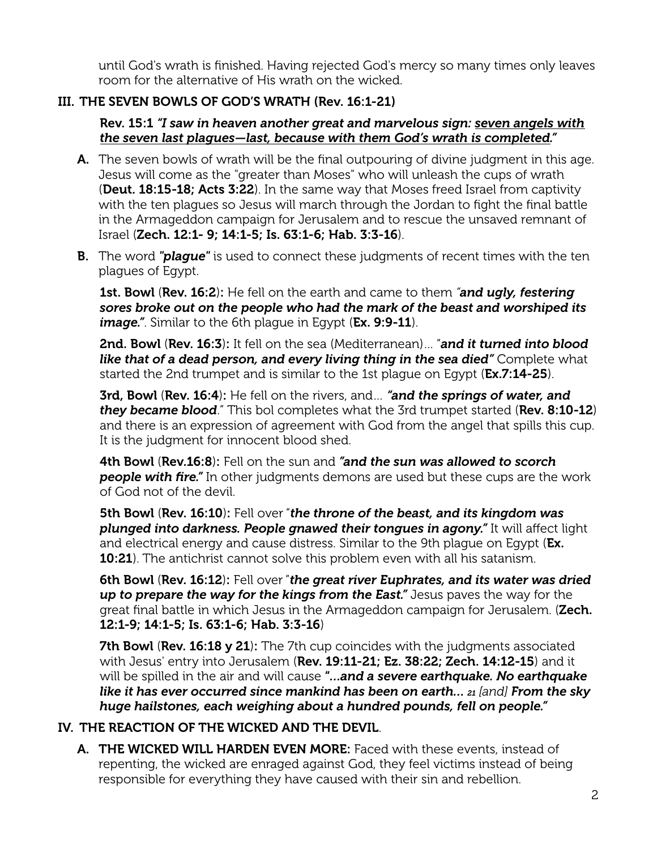until God's wrath is finished. Having rejected God's mercy so many times only leaves room for the alternative of His wrath on the wicked.

### III. THE SEVEN BOWLS OF GOD'S WRATH (Rev. 16:1-21)

#### Rev. 15:1 *"I saw in heaven another great and marvelous sign: seven angels with the seven last plagues—last, because with them God's wrath is completed."*

- A. The seven bowls of wrath will be the final outpouring of divine judgment in this age. Jesus will come as the "greater than Moses" who will unleash the cups of wrath (Deut. 18:15-18; Acts 3:22). In the same way that Moses freed Israel from captivity with the ten plagues so Jesus will march through the Jordan to fight the final battle in the Armageddon campaign for Jerusalem and to rescue the unsaved remnant of Israel (Zech. 12:1- 9; 14:1-5; Is. 63:1-6; Hab. 3:3-16).
- B. The word *"plague"* is used to connect these judgments of recent times with the ten plagues of Egypt.

1st. Bowl (Rev. 16:2): He fell on the earth and came to them *"and ugly, festering sores broke out on the people who had the mark of the beast and worshiped its image.*". Similar to the 6th plague in Egypt (Ex. 9:9-11).

2nd. Bowl (Rev. 16:3): It fell on the sea (Mediterranean)… "*and it turned into blood like that of a dead person, and every living thing in the sea died"* Complete what started the 2nd trumpet and is similar to the 1st plague on Egypt ( $Ex.7:14-25$ ).

3rd, Bowl (Rev. 16:4): He fell on the rivers, and… *"and the springs of water, and they became blood*." This bol completes what the 3rd trumpet started (Rev. 8:10-12) and there is an expression of agreement with God from the angel that spills this cup. It is the judgment for innocent blood shed.

4th Bowl (Rev.16:8): Fell on the sun and *"and the sun was allowed to scorch people with fire."* In other judgments demons are used but these cups are the work of God not of the devil.

5th Bowl (Rev. 16:10): Fell over "*the throne of the beast, and its kingdom was plunged into darkness. People gnawed their tongues in agony."* It will afect light and electrical energy and cause distress. Similar to the 9th plague on Egypt ( $Ex.$ **10:21**). The antichrist cannot solve this problem even with all his satanism.

6th Bowl (Rev. 16:12): Fell over "*the great river Euphrates, and its water was dried up to prepare the way for the kings from the East."* Jesus paves the way for the great final battle in which Jesus in the Armageddon campaign for Jerusalem. (Zech. 12:1-9; 14:1-5; Is. 63:1-6; Hab. 3:3-16)

**7th Bowl (Rev. 16:18 y 21):** The 7th cup coincides with the judgments associated with Jesus' entry into Jerusalem (Rev. 19:11-21; Ez. 38:22; Zech. 14:12-15) and it will be spilled in the air and will cause "*…and a severe earthquake. No earthquake like it has ever occurred since mankind has been on earth… 21 [and] From the sky huge hailstones, each weighing about a hundred pounds, fell on people."*

## IV. THE REACTION OF THE WICKED AND THE DEVIL.

A. THE WICKED WILL HARDEN EVEN MORE: Faced with these events, instead of repenting, the wicked are enraged against God, they feel victims instead of being responsible for everything they have caused with their sin and rebellion.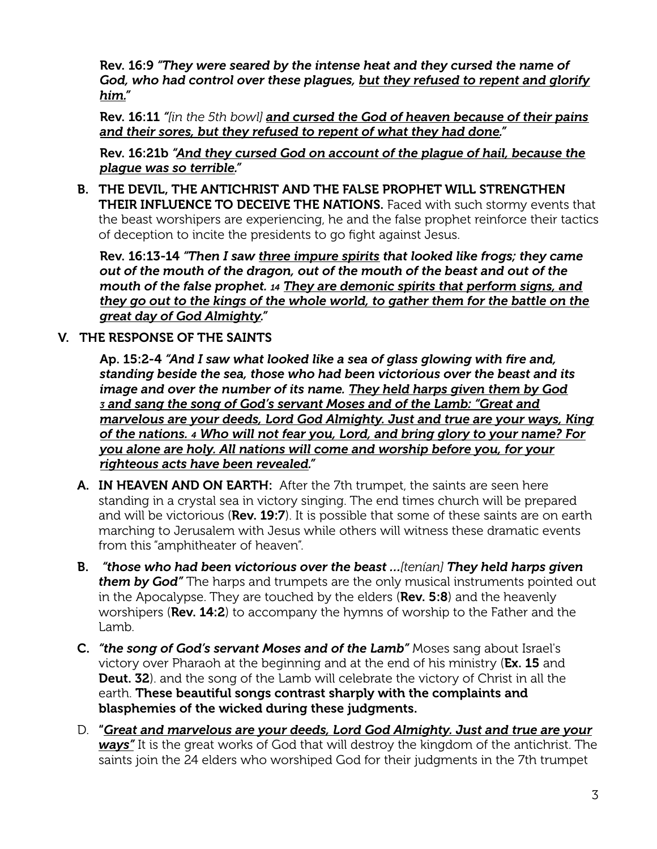Rev. 16:9 *"They were seared by the intense heat and they cursed the name of*  God, who had control over these plagues, but they refused to repent and glorify *him."* 

Rev. 16:11 *"[in the 5th bowl] and cursed the God of heaven because of their pains and their sores, but they refused to repent of what they had done."* 

Rev. 16:21b *"And they cursed God on account of the plague of hail, because the plague was so terrible."* 

B. THE DEVIL, THE ANTICHRIST AND THE FALSE PROPHET WILL STRENGTHEN THEIR INFLUENCE TO DECEIVE THE NATIONS. Faced with such stormy events that the beast worshipers are experiencing, he and the false prophet reinforce their tactics of deception to incite the presidents to go fight against Jesus.

Rev. 16:13-14 *"Then I saw three impure spirits that looked like frogs; they came out of the mouth of the dragon, out of the mouth of the beast and out of the mouth of the false prophet. 14 They are demonic spirits that perform signs, and they go out to the kings of the whole world, to gather them for the battle on the great day of God Almighty."* 

V. THE RESPONSE OF THE SAINTS

Ap. 15:2-4 *"And I saw what looked like a sea of glass glowing with fire and, standing beside the sea, those who had been victorious over the beast and its image and over the number of its name. They held harps given them by God 3 and sang the song of God's servant Moses and of the Lamb: "Great and marvelous are your deeds, Lord God Almighty. Just and true are your ways, King of the nations. 4 Who will not fear you, Lord, and bring glory to your name? For you alone are holy. All nations will come and worship before you, for your righteous acts have been revealed."*

- A. IN HEAVEN AND ON EARTH: After the 7th trumpet, the saints are seen here standing in a crystal sea in victory singing. The end times church will be prepared and will be victorious (Rev. 19:7). It is possible that some of these saints are on earth marching to Jerusalem with Jesus while others will witness these dramatic events from this "amphitheater of heaven".
- B. *"those who had been victorious over the beast …[tenían] They held harps given them by God"* The harps and trumpets are the only musical instruments pointed out in the Apocalypse. They are touched by the elders ( $Rev. 5:8$ ) and the heavenly worshipers (Rev. 14:2) to accompany the hymns of worship to the Father and the Lamb.
- C. *"the song of God's servant Moses and of the Lamb"* Moses sang about Israel's victory over Pharaoh at the beginning and at the end of his ministry ( $Ex. 15$  and **Deut. 32**), and the song of the Lamb will celebrate the victory of Christ in all the earth. These beautiful songs contrast sharply with the complaints and blasphemies of the wicked during these judgments.
- D. "*Great and marvelous are your deeds, Lord God Almighty. Just and true are your ways"* It is the great works of God that will destroy the kingdom of the antichrist. The saints join the 24 elders who worshiped God for their judgments in the 7th trumpet